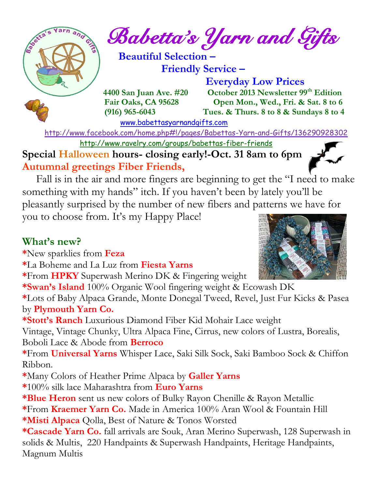

 **Beautiful Selection – Friendly Service –**

[www.babettasyarnandgifts.com](http://www.babettasyarnandgifts.com/)

 **Everyday Low Prices 4400 San Juan Ave. #20 October 2013 Newsletter 99th Edition Fair Oaks, CA 95628 Open Mon., Wed., Fri. & Sat. 8 to 6 (916) 965-6043 Tues. & Thurs. 8 to 8 & Sundays 8 to 4** 

 <http://www.facebook.com/home.php#!/pages/Babettas-Yarn-and-Gifts/136290928302> <http://www.ravelry.com/groups/babettas-fiber-friends>

**Special Halloween hours- closing early!-Oct. 31 8am to 6pm Autumnal greetings Fiber Friends,** 

 Fall is in the air and more fingers are beginning to get the "I need to make something with my hands" itch. If you haven't been by lately you'll be pleasantly surprised by the number of new fibers and patterns we have for you to choose from. It's my Happy Place!

### **What's new?**

**\***New sparklies from **Feza**

**\***La Boheme and La Luz from **Fiesta Yarns**

**\***From **HPKY** Superwash Merino DK & Fingering weight

**\*Swan's Island** 100% Organic Wool fingering weight & Ecowash DK

**\***Lots of Baby Alpaca Grande, Monte Donegal Tweed, Revel, Just Fur Kicks & Pasea by **Plymouth Yarn Co.**

**\*Stott's Ranch** Luxurious Diamond Fiber Kid Mohair Lace weight

Vintage, Vintage Chunky, Ultra Alpaca Fine, Cirrus, new colors of Lustra, Borealis, Boboli Lace & Abode from **Berroco**

**\***From **Universal Yarns** Whisper Lace, Saki Silk Sock, Saki Bamboo Sock & Chiffon Ribbon.

**\***Many Colors of Heather Prime Alpaca by **Galler Yarns**

**\***100% silk lace Maharashtra from **Euro Yarns**

**\*Blue Heron** sent us new colors of Bulky Rayon Chenille & Rayon Metallic **\***From **Kraemer Yarn Co.** Made in America 100% Aran Wool & Fountain Hill **\*Misti Alpaca** Qolla, Best of Nature & Tonos Worsted

**\*Cascade Yarn Co.** fall arrivals are Souk, Aran Merino Superwash, 128 Superwash in solids & Multis, 220 Handpaints & Superwash Handpaints, Heritage Handpaints, Magnum Multis

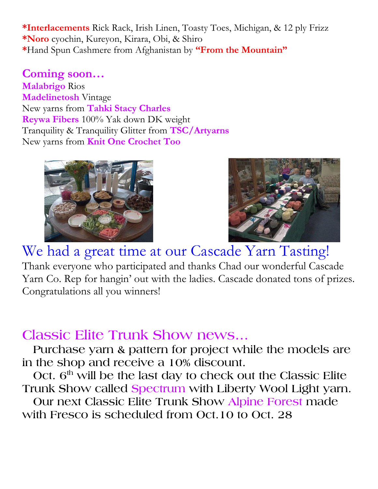**\*Interlacements** Rick Rack, Irish Linen, Toasty Toes, Michigan, & 12 ply Frizz **\*Noro** cyochin, Kureyon, Kirara, Obi, & Shiro **\***Hand Spun Cashmere from Afghanistan by **"From the Mountain"**

### **Coming soon…**

**Malabrigo** Rios **Madelinetosh** Vintage New yarns from **Tahki Stacy Charles Reywa Fibers** 100% Yak down DK weight Tranquility & Tranquility Glitter from **TSC/Artyarns** New yarns from **Knit One Crochet Too**





We had a great time at our Cascade Yarn Tasting! Thank everyone who participated and thanks Chad our wonderful Cascade Yarn Co. Rep for hangin' out with the ladies. Cascade donated tons of prizes. Congratulations all you winners!

# **Classic Elite Trunk Show news…**

 **Purchase yarn & pattern for project while the models are in the shop and receive a 10% discount.**

 **Oct. 6th will be the last day to check out the Classic Elite Trunk Show called Spectrum with Liberty Wool Light yarn.** 

 **Our next Classic Elite Trunk Show Alpine Forest made with Fresco is scheduled from Oct.10 to Oct. 28**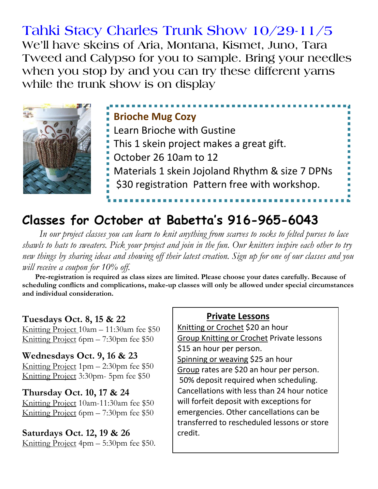## **Tahki Stacy Charles Trunk Show 10/29-11/5 We'll have skeins of Aria, Montana, Kismet, Juno, Tara Tweed and Calypso for you to sample. Bring your needles when you stop by and you can try these different yarns while the trunk show is on display**



## **Brioche Mug Cozy** Learn Brioche with Gustine

- This 1 skein project makes a great gift.
- October 26 10am to 12
- Materials 1 skein Jojoland Rhythm & size 7 DPNs
- \$30 registration Pattern free with workshop.

# **Classes for October at Babetta's 916-965-6043**

 *In our project classes you can learn to knit anything from scarves to socks to felted purses to lace shawls to hats to sweaters. Pick your project and join in the fun. Our knitters inspire each other to try new things by sharing ideas and showing off their latest creation. Sign up for one of our classes and you will receive a coupon for 10% off.*

 **Pre-registration is required as class sizes are limited. Please choose your dates carefully. Because of scheduling conflicts and complications, make-up classes will only be allowed under special circumstances and individual consideration.**

#### **Tuesdays Oct. 8, 15 & 22**

Knitting Project 10am – 11:30am fee \$50 Knitting Project 6pm – 7:30pm fee \$50

#### **Wednesdays Oct. 9, 16 & 23**

Knitting Project 1pm – 2:30pm fee \$50 Knitting Project 3:30pm- 5pm fee \$50

#### **Thursday Oct. 10, 17 & 24**

Knitting Project 10am-11:30am fee \$50 Knitting Project 6pm – 7:30pm fee \$50

#### **Saturdays Oct. 12, 19 & 26**

Knitting Project 4pm – 5:30pm fee \$50.

#### **Private Lessons**

Knitting or Crochet \$20 an hour Group Knitting or Crochet Private lessons \$15 an hour per person. Spinning or weaving \$25 an hour Group rates are \$20 an hour per person. 50% deposit required when scheduling. Cancellations with less than 24 hour notice will forfeit deposit with exceptions for emergencies. Other cancellations can be transferred to rescheduled lessons or store credit.